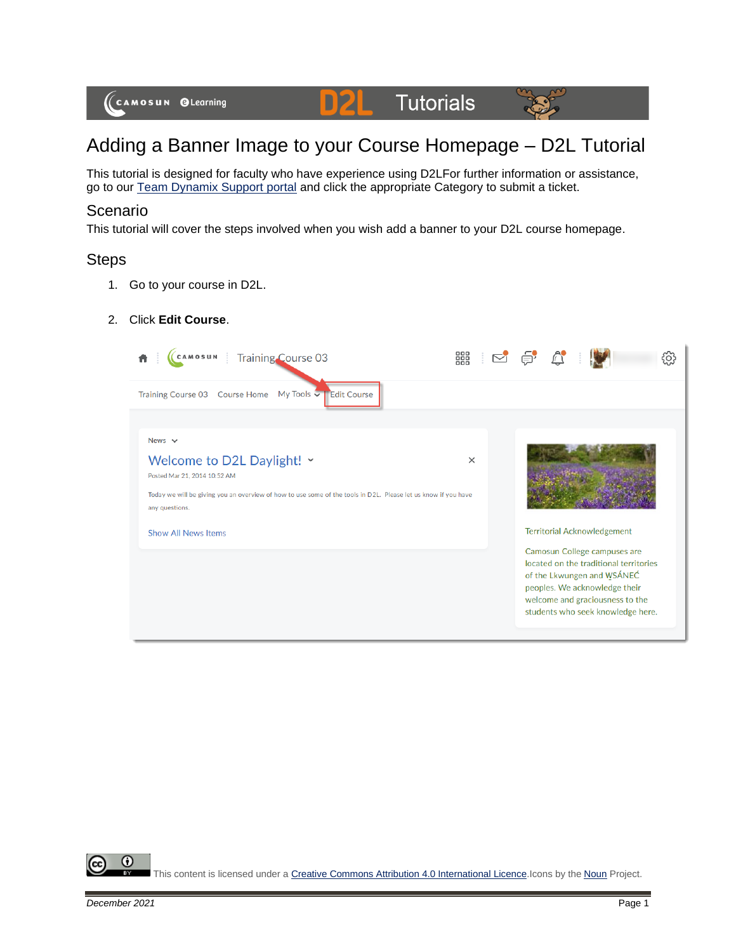

# Adding a Banner Image to your Course Homepage – D2L Tutorial

This tutorial is designed for faculty who have experience using D2LFor further information or assistance, go to our [Team Dynamix Support portal](https://camosun.teamdynamix.com/TDClient/67/Portal/Requests/ServiceCatalog?CategoryID=523) and click the appropriate Category to submit a ticket.

## Scenario

This tutorial will cover the steps involved when you wish add a banner to your D2L course homepage.

# **Steps**

- 1. Go to your course in D2L.
- 2. Click **Edit Course**.

| <b>Training Course 03</b>                                                                                                                                                                                                                   | 器        |                                                                                                                                                                                                                                                     | 3O) |
|---------------------------------------------------------------------------------------------------------------------------------------------------------------------------------------------------------------------------------------------|----------|-----------------------------------------------------------------------------------------------------------------------------------------------------------------------------------------------------------------------------------------------------|-----|
| My Tools V Edit Course<br><b>Training Course 03</b><br><b>Course Home</b>                                                                                                                                                                   |          |                                                                                                                                                                                                                                                     |     |
| News $\vee$<br>Welcome to D2L Daylight! v<br>Posted Mar 21, 2014 10:52 AM<br>Today we will be giving you an overview of how to use some of the tools in D2L. Please let us know if you have<br>any questions.<br><b>Show All News Items</b> | $\times$ | <b>Territorial Acknowledgement</b><br>Camosun College campuses are<br>located on the traditional territories<br>of the Lkwungen and WSÁNEC<br>peoples. We acknowledge their<br>welcome and graciousness to the<br>students who seek knowledge here. |     |

 $\odot$ This content is licensed under [a Creative Commons Attribution 4.0 International Licence.I](https://creativecommons.org/licenses/by/4.0/)cons by the [Noun](https://creativecommons.org/website-icons/) Project.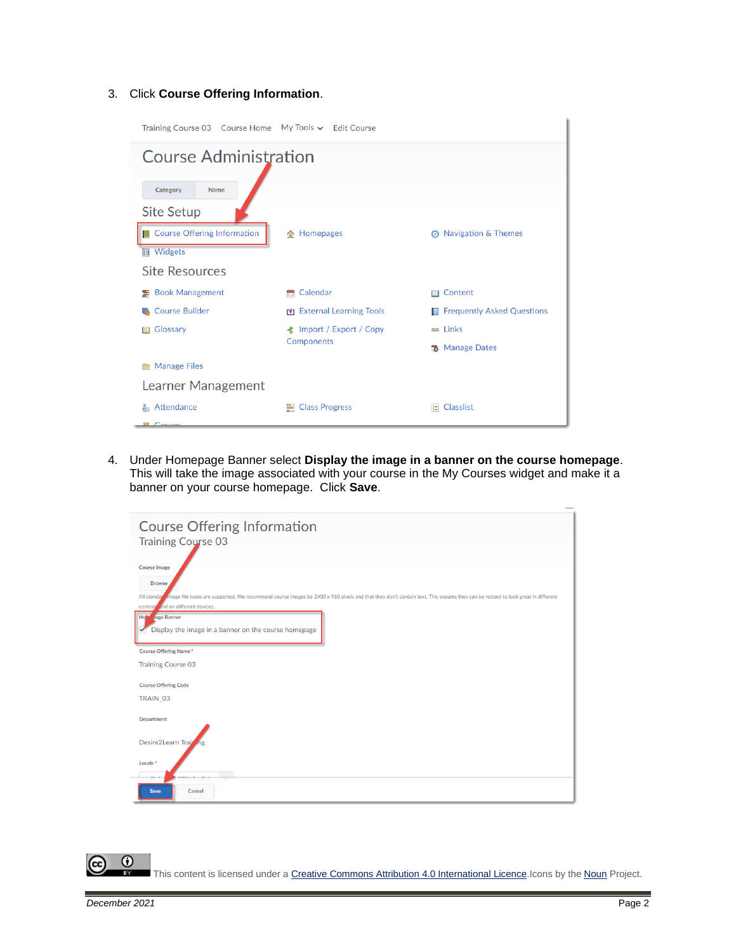#### 3. Click **Course Offering Information**.

| Training Course 03  Course Home  My Tools v  Edit Course |                                 |                                     |  |  |  |
|----------------------------------------------------------|---------------------------------|-------------------------------------|--|--|--|
| <b>Course Administration</b>                             |                                 |                                     |  |  |  |
| Category<br>Name<br><b>Site Setup</b>                    |                                 |                                     |  |  |  |
| Course Offering Information<br><b>■</b> Widgets          | 合 Homepages                     | <b>8</b> Navigation & Themes        |  |  |  |
| <b>Site Resources</b>                                    |                                 |                                     |  |  |  |
| <b>图 Book Management</b>                                 | Calendar                        | <b>Ⅲ</b> Content                    |  |  |  |
| <b>Course Builder</b>                                    | 图 External Learning Tools       | <b>E</b> Frequently Asked Questions |  |  |  |
| Glossary<br><b>AA</b>                                    | <b>全</b> Import / Export / Copy | <b>es</b> Links                     |  |  |  |
|                                                          |                                 | <b>选</b> Manage Dates               |  |  |  |
| <b>Manage Files</b>                                      |                                 |                                     |  |  |  |
| Learner Management                                       |                                 |                                     |  |  |  |
| Attendance                                               | <b>E</b> Class Progress         | <b>Classlist</b><br>旧               |  |  |  |
| <sup>00</sup> Croupe                                     | <b>Components</b>               |                                     |  |  |  |

4. Under Homepage Banner select **Display the image in a banner on the course homepage**. This will take the image associated with your course in the My Courses widget and make it a banner on your course homepage. Click **Save**.



 $\odot$ This content is licensed under [a Creative Commons Attribution 4.0 International Licence.I](https://creativecommons.org/licenses/by/4.0/)cons by the [Noun](https://creativecommons.org/website-icons/) Project.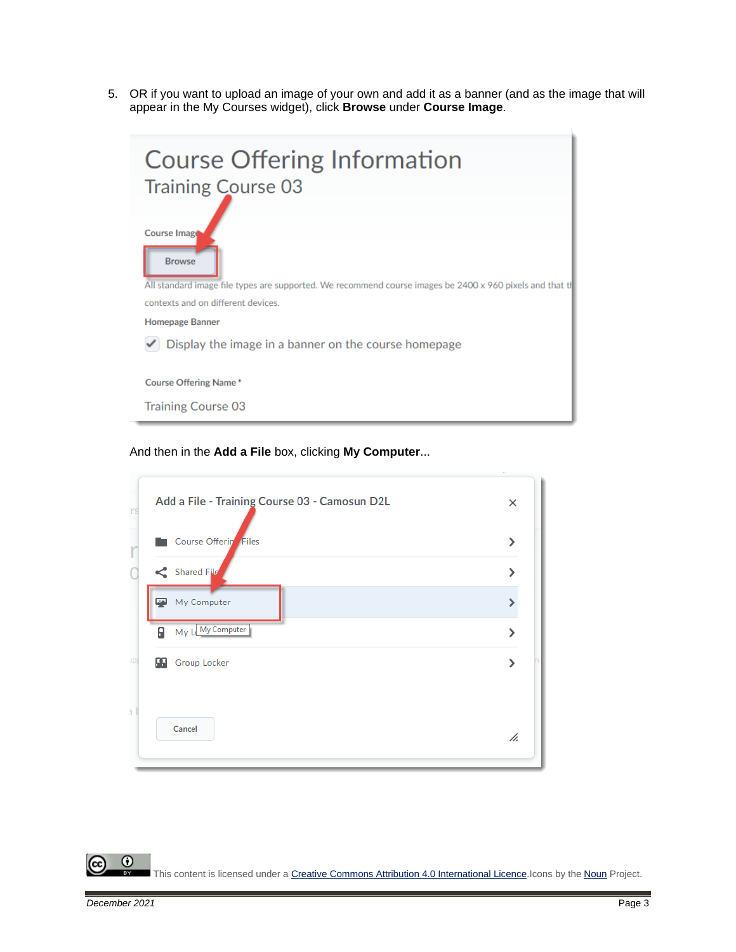5. OR if you want to upload an image of your own and add it as a banner (and as the image that will appear in the My Courses widget), click **Browse** under **Course Image**.

| <b>Course Offering Information</b><br><b>Training Course 03</b>                                           |  |  |  |
|-----------------------------------------------------------------------------------------------------------|--|--|--|
| Course Image                                                                                              |  |  |  |
| <b>Browse</b>                                                                                             |  |  |  |
| All standard image file types are supported. We recommend course images be 2400 x 960 pixels and that til |  |  |  |
| contexts and on different devices.                                                                        |  |  |  |
| <b>Homepage Banner</b>                                                                                    |  |  |  |
| Display the image in a banner on the course homepage                                                      |  |  |  |
| <b>Course Offering Name*</b>                                                                              |  |  |  |
| <b>Training Course 03</b>                                                                                 |  |  |  |

And then in the **Add a File** box, clicking **My Computer**...



 $\odot$ (cc This content is licensed under [a Creative Commons Attribution 4.0 International Licence.I](https://creativecommons.org/licenses/by/4.0/)cons by the [Noun](https://creativecommons.org/website-icons/) Project.